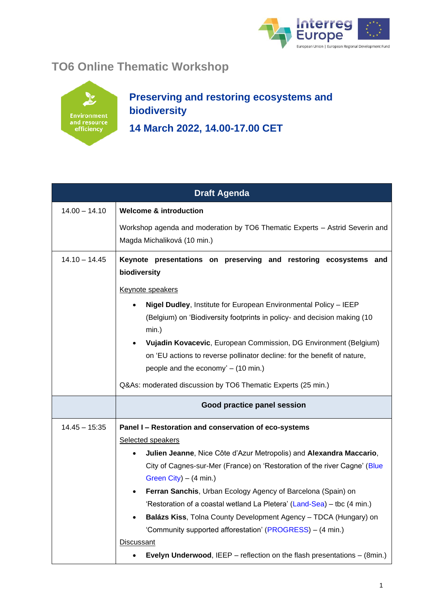

## **TO6 Online Thematic Workshop**



## **Preserving and restoring ecosystems and biodiversity 14 March 2022, 14.00-17.00 CET**

| <b>Draft Agenda</b> |                                                                                                                               |
|---------------------|-------------------------------------------------------------------------------------------------------------------------------|
| $14.00 - 14.10$     | <b>Welcome &amp; introduction</b>                                                                                             |
|                     | Workshop agenda and moderation by TO6 Thematic Experts - Astrid Severin and<br>Magda Michaliková (10 min.)                    |
| $14.10 - 14.45$     | Keynote presentations on preserving and restoring ecosystems and<br>biodiversity                                              |
|                     | Keynote speakers                                                                                                              |
|                     | Nigel Dudley, Institute for European Environmental Policy - IEEP<br>٠                                                         |
|                     | (Belgium) on 'Biodiversity footprints in policy- and decision making (10)<br>$min.$ )                                         |
|                     | Vujadin Kovacevic, European Commission, DG Environment (Belgium)                                                              |
|                     | on 'EU actions to reverse pollinator decline: for the benefit of nature,                                                      |
|                     | people and the economy' - (10 min.)                                                                                           |
|                     | Q&As: moderated discussion by TO6 Thematic Experts (25 min.)                                                                  |
|                     | Good practice panel session                                                                                                   |
| $14.45 - 15.35$     | Panel I - Restoration and conservation of eco-systems                                                                         |
|                     | Selected speakers                                                                                                             |
|                     | Julien Jeanne, Nice Côte d'Azur Metropolis) and Alexandra Maccario,<br>٠                                                      |
|                     | City of Cagnes-sur-Mer (France) on 'Restoration of the river Cagne' (Blue                                                     |
|                     | Green City) $-$ (4 min.)                                                                                                      |
|                     | Ferran Sanchis, Urban Ecology Agency of Barcelona (Spain) on                                                                  |
|                     | 'Restoration of a coastal wetland La Pletera' (Land-Sea) – tbc (4 min.)                                                       |
|                     | Balázs Kiss, Tolna County Development Agency - TDCA (Hungary) on<br>'Community supported afforestation' (PROGRESS) – (4 min.) |
|                     | <b>Discussant</b>                                                                                                             |
|                     | Evelyn Underwood, IEEP - reflection on the flash presentations - (8min.)                                                      |